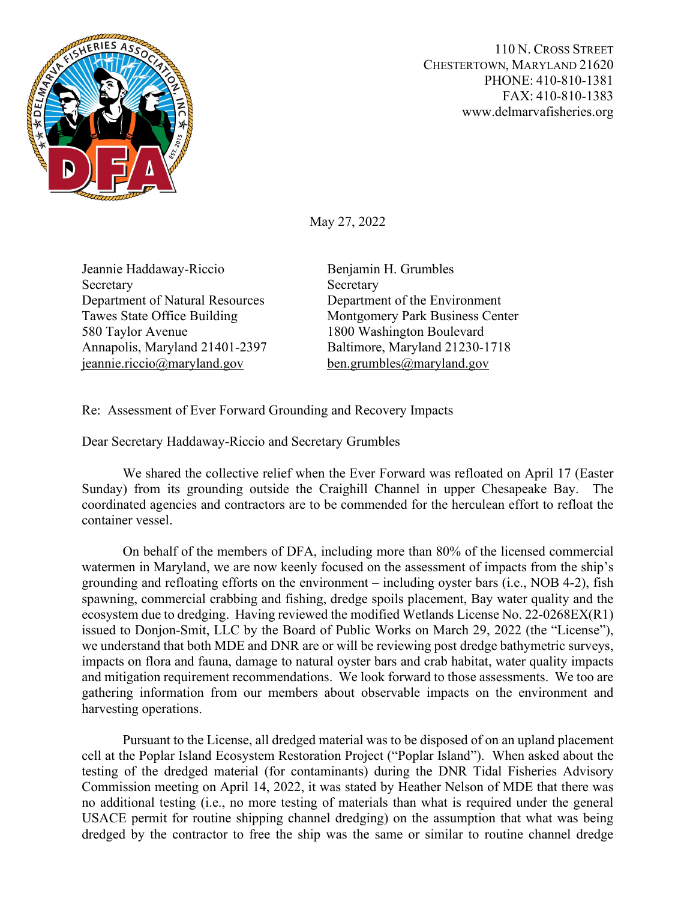

110 N. CROSS STREET CHESTERTOWN, MARYLAND 21620 PHONE: 410-810-1381 FAX: 410-810-1383 www.delmarvafisheries.org

May 27, 2022

Jeannie Haddaway-Riccio Benjamin H. Grumbles Secretary Secretary Secretary Department of Natural Resources Department of the Environment 580 Taylor Avenue 1800 Washington Boulevard [jeannie.riccio@maryland.gov](mailto:jeannie.riccio@maryland.gov) [ben.grumbles@maryland.gov](mailto:ben.grumbles@maryland.gov)

Tawes State Office Building Montgomery Park Business Center Annapolis, Maryland 21401-2397 Baltimore, Maryland 21230-1718

Re: Assessment of Ever Forward Grounding and Recovery Impacts

Dear Secretary Haddaway-Riccio and Secretary Grumbles

We shared the collective relief when the Ever Forward was refloated on April 17 (Easter Sunday) from its grounding outside the Craighill Channel in upper Chesapeake Bay. The coordinated agencies and contractors are to be commended for the herculean effort to refloat the container vessel.

On behalf of the members of DFA, including more than 80% of the licensed commercial watermen in Maryland, we are now keenly focused on the assessment of impacts from the ship's grounding and refloating efforts on the environment – including oyster bars (i.e., NOB 4-2), fish spawning, commercial crabbing and fishing, dredge spoils placement, Bay water quality and the ecosystem due to dredging. Having reviewed the modified Wetlands License No. 22-0268EX(R1) issued to Donjon-Smit, LLC by the Board of Public Works on March 29, 2022 (the "License"), we understand that both MDE and DNR are or will be reviewing post dredge bathymetric surveys, impacts on flora and fauna, damage to natural oyster bars and crab habitat, water quality impacts and mitigation requirement recommendations. We look forward to those assessments. We too are gathering information from our members about observable impacts on the environment and harvesting operations.

Pursuant to the License, all dredged material was to be disposed of on an upland placement cell at the Poplar Island Ecosystem Restoration Project ("Poplar Island"). When asked about the testing of the dredged material (for contaminants) during the DNR Tidal Fisheries Advisory Commission meeting on April 14, 2022, it was stated by Heather Nelson of MDE that there was no additional testing (i.e., no more testing of materials than what is required under the general USACE permit for routine shipping channel dredging) on the assumption that what was being dredged by the contractor to free the ship was the same or similar to routine channel dredge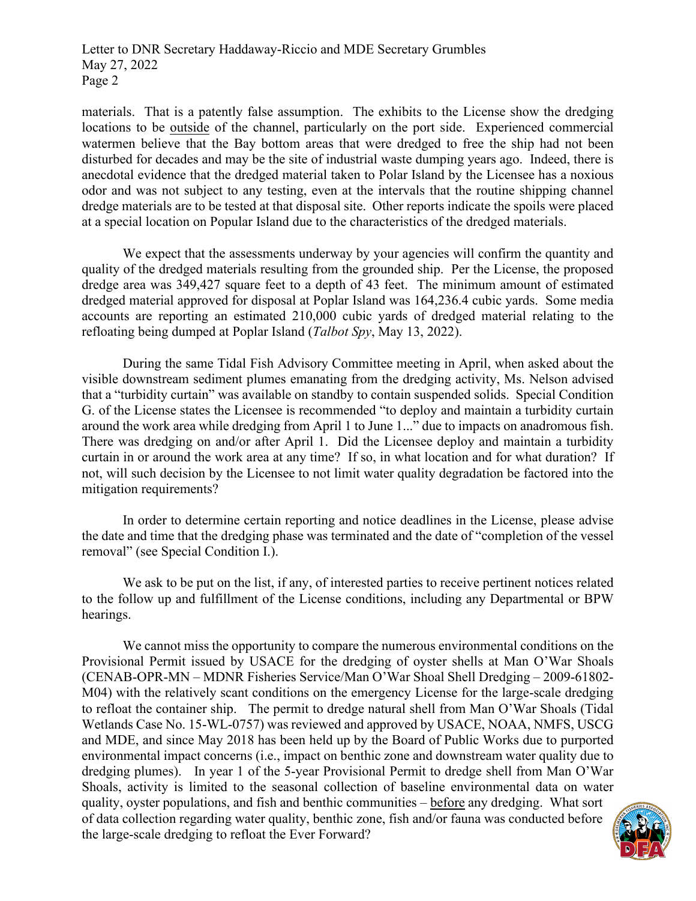Letter to DNR Secretary Haddaway-Riccio and MDE Secretary Grumbles May 27, 2022 Page 2

materials. That is a patently false assumption. The exhibits to the License show the dredging locations to be outside of the channel, particularly on the port side. Experienced commercial watermen believe that the Bay bottom areas that were dredged to free the ship had not been disturbed for decades and may be the site of industrial waste dumping years ago. Indeed, there is anecdotal evidence that the dredged material taken to Polar Island by the Licensee has a noxious odor and was not subject to any testing, even at the intervals that the routine shipping channel dredge materials are to be tested at that disposal site. Other reports indicate the spoils were placed at a special location on Popular Island due to the characteristics of the dredged materials.

We expect that the assessments underway by your agencies will confirm the quantity and quality of the dredged materials resulting from the grounded ship. Per the License, the proposed dredge area was 349,427 square feet to a depth of 43 feet. The minimum amount of estimated dredged material approved for disposal at Poplar Island was 164,236.4 cubic yards. Some media accounts are reporting an estimated 210,000 cubic yards of dredged material relating to the refloating being dumped at Poplar Island (*Talbot Spy*, May 13, 2022).

During the same Tidal Fish Advisory Committee meeting in April, when asked about the visible downstream sediment plumes emanating from the dredging activity, Ms. Nelson advised that a "turbidity curtain" was available on standby to contain suspended solids. Special Condition G. of the License states the Licensee is recommended "to deploy and maintain a turbidity curtain around the work area while dredging from April 1 to June 1..." due to impacts on anadromous fish. There was dredging on and/or after April 1. Did the Licensee deploy and maintain a turbidity curtain in or around the work area at any time? If so, in what location and for what duration? If not, will such decision by the Licensee to not limit water quality degradation be factored into the mitigation requirements?

In order to determine certain reporting and notice deadlines in the License, please advise the date and time that the dredging phase was terminated and the date of "completion of the vessel removal" (see Special Condition I.).

We ask to be put on the list, if any, of interested parties to receive pertinent notices related to the follow up and fulfillment of the License conditions, including any Departmental or BPW hearings.

We cannot miss the opportunity to compare the numerous environmental conditions on the Provisional Permit issued by USACE for the dredging of oyster shells at Man O'War Shoals (CENAB-OPR-MN – MDNR Fisheries Service/Man O'War Shoal Shell Dredging – 2009-61802- M04) with the relatively scant conditions on the emergency License for the large-scale dredging to refloat the container ship. The permit to dredge natural shell from Man O'War Shoals (Tidal Wetlands Case No. 15-WL-0757) was reviewed and approved by USACE, NOAA, NMFS, USCG and MDE, and since May 2018 has been held up by the Board of Public Works due to purported environmental impact concerns (i.e., impact on benthic zone and downstream water quality due to dredging plumes). In year 1 of the 5-year Provisional Permit to dredge shell from Man O'War Shoals, activity is limited to the seasonal collection of baseline environmental data on water quality, oyster populations, and fish and benthic communities – before any dredging. What sort of data collection regarding water quality, benthic zone, fish and/or fauna was conducted before the large-scale dredging to refloat the Ever Forward?